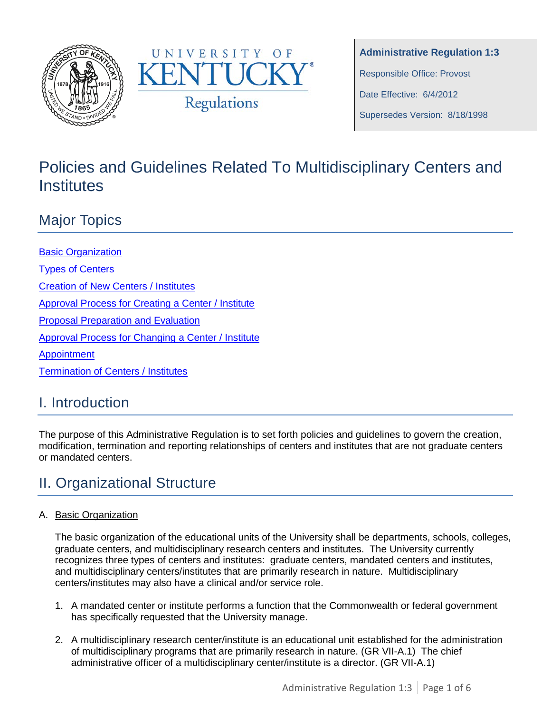



**Administrative Regulation 1:3** Responsible Office: Provost Date Effective: 6/4/2012 Supersedes Version: 8/18/1998

# Policies and Guidelines Related To Multidisciplinary Centers and Institutes

## Major Topics

[Basic Organization](#page-0-0) [Types of Centers](#page-1-0) [Creation of New Centers / Institutes](#page-1-1) [Approval Process for Creating a Center](#page-2-0) / Institute [Proposal Preparation and Evaluation](#page-2-1) [Approval Process for Changing a Center](#page-3-0) / Institute [Appointment](#page-4-0) [Termination of Centers / Institutes](#page-4-1)

## I. Introduction

The purpose of this Administrative Regulation is to set forth policies and guidelines to govern the creation, modification, termination and reporting relationships of centers and institutes that are not graduate centers or mandated centers.

## <span id="page-0-0"></span>II. Organizational Structure

#### A. Basic Organization

The basic organization of the educational units of the University shall be departments, schools, colleges, graduate centers, and multidisciplinary research centers and institutes. The University currently recognizes three types of centers and institutes: graduate centers, mandated centers and institutes, and multidisciplinary centers/institutes that are primarily research in nature. Multidisciplinary centers/institutes may also have a clinical and/or service role.

- 1. A mandated center or institute performs a function that the Commonwealth or federal government has specifically requested that the University manage.
- 2. A multidisciplinary research center/institute is an educational unit established for the administration of multidisciplinary programs that are primarily research in nature. (GR VII-A.1) The chief administrative officer of a multidisciplinary center/institute is a director. (GR VII-A.1)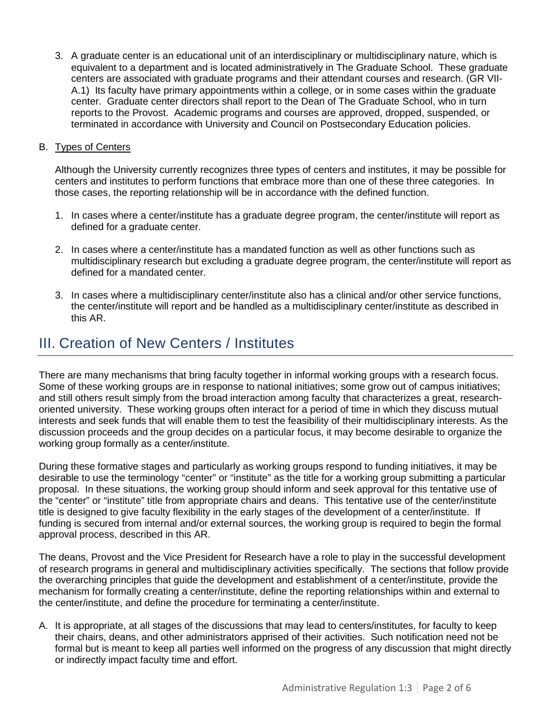3. A graduate center is an educational unit of an interdisciplinary or multidisciplinary nature, which is equivalent to a department and is located administratively in The Graduate School. These graduate centers are associated with graduate programs and their attendant courses and research. (GR VII-A.1) Its faculty have primary appointments within a college, or in some cases within the graduate center. Graduate center directors shall report to the Dean of The Graduate School, who in turn reports to the Provost. Academic programs and courses are approved, dropped, suspended, or terminated in accordance with University and Council on Postsecondary Education policies.

#### <span id="page-1-0"></span>B. Types of Centers

Although the University currently recognizes three types of centers and institutes, it may be possible for centers and institutes to perform functions that embrace more than one of these three categories. In those cases, the reporting relationship will be in accordance with the defined function.

- 1. In cases where a center/institute has a graduate degree program, the center/institute will report as defined for a graduate center.
- 2. In cases where a center/institute has a mandated function as well as other functions such as multidisciplinary research but excluding a graduate degree program, the center/institute will report as defined for a mandated center.
- 3. In cases where a multidisciplinary center/institute also has a clinical and/or other service functions, the center/institute will report and be handled as a multidisciplinary center/institute as described in this AR.

#### <span id="page-1-1"></span>III. Creation of New Centers / Institutes

There are many mechanisms that bring faculty together in informal working groups with a research focus. Some of these working groups are in response to national initiatives; some grow out of campus initiatives; and still others result simply from the broad interaction among faculty that characterizes a great, researchoriented university. These working groups often interact for a period of time in which they discuss mutual interests and seek funds that will enable them to test the feasibility of their multidisciplinary interests. As the discussion proceeds and the group decides on a particular focus, it may become desirable to organize the working group formally as a center/institute.

During these formative stages and particularly as working groups respond to funding initiatives, it may be desirable to use the terminology "center" or "institute" as the title for a working group submitting a particular proposal. In these situations, the working group should inform and seek approval for this tentative use of the "center" or "institute" title from appropriate chairs and deans. This tentative use of the center/institute title is designed to give faculty flexibility in the early stages of the development of a center/institute. If funding is secured from internal and/or external sources, the working group is required to begin the formal approval process, described in this AR.

The deans, Provost and the Vice President for Research have a role to play in the successful development of research programs in general and multidisciplinary activities specifically. The sections that follow provide the overarching principles that guide the development and establishment of a center/institute, provide the mechanism for formally creating a center/institute, define the reporting relationships within and external to the center/institute, and define the procedure for terminating a center/institute.

A. It is appropriate, at all stages of the discussions that may lead to centers/institutes, for faculty to keep their chairs, deans, and other administrators apprised of their activities. Such notification need not be formal but is meant to keep all parties well informed on the progress of any discussion that might directly or indirectly impact faculty time and effort.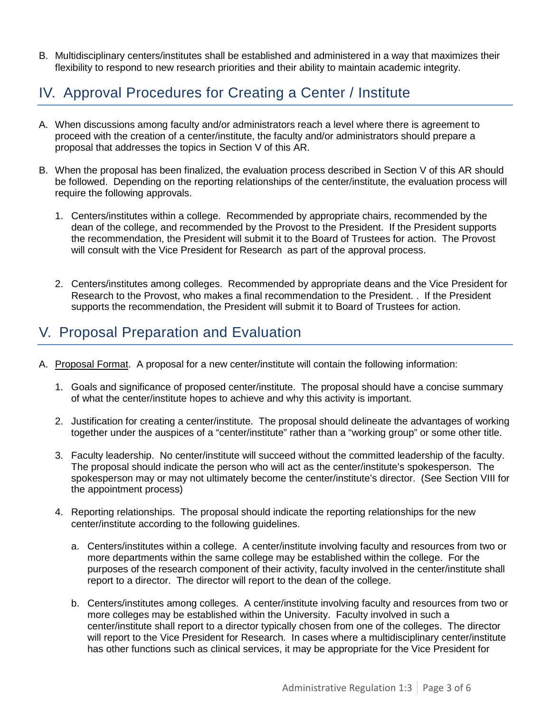B. Multidisciplinary centers/institutes shall be established and administered in a way that maximizes their flexibility to respond to new research priorities and their ability to maintain academic integrity.

## <span id="page-2-0"></span>IV. Approval Procedures for Creating a Center / Institute

- A. When discussions among faculty and/or administrators reach a level where there is agreement to proceed with the creation of a center/institute, the faculty and/or administrators should prepare a proposal that addresses the topics in Section V of this AR.
- B. When the proposal has been finalized, the evaluation process described in Section V of this AR should be followed. Depending on the reporting relationships of the center/institute, the evaluation process will require the following approvals.
	- 1. Centers/institutes within a college. Recommended by appropriate chairs, recommended by the dean of the college, and recommended by the Provost to the President. If the President supports the recommendation, the President will submit it to the Board of Trustees for action. The Provost will consult with the Vice President for Research as part of the approval process.
	- 2. Centers/institutes among colleges. Recommended by appropriate deans and the Vice President for Research to the Provost, who makes a final recommendation to the President. . If the President supports the recommendation, the President will submit it to Board of Trustees for action.

### <span id="page-2-1"></span>V. Proposal Preparation and Evaluation

- A. Proposal Format. A proposal for a new center/institute will contain the following information:
	- 1. Goals and significance of proposed center/institute. The proposal should have a concise summary of what the center/institute hopes to achieve and why this activity is important.
	- 2. Justification for creating a center/institute. The proposal should delineate the advantages of working together under the auspices of a "center/institute" rather than a "working group" or some other title.
	- 3. Faculty leadership. No center/institute will succeed without the committed leadership of the faculty. The proposal should indicate the person who will act as the center/institute's spokesperson. The spokesperson may or may not ultimately become the center/institute's director. (See Section VIII for the appointment process)
	- 4. Reporting relationships. The proposal should indicate the reporting relationships for the new center/institute according to the following guidelines.
		- a. Centers/institutes within a college. A center/institute involving faculty and resources from two or more departments within the same college may be established within the college. For the purposes of the research component of their activity, faculty involved in the center/institute shall report to a director. The director will report to the dean of the college.
		- b. Centers/institutes among colleges. A center/institute involving faculty and resources from two or more colleges may be established within the University. Faculty involved in such a center/institute shall report to a director typically chosen from one of the colleges. The director will report to the Vice President for Research. In cases where a multidisciplinary center/institute has other functions such as clinical services, it may be appropriate for the Vice President for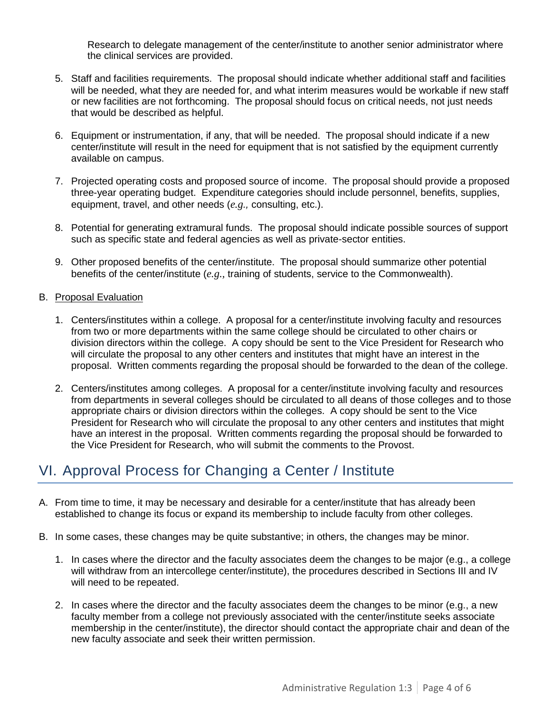Research to delegate management of the center/institute to another senior administrator where the clinical services are provided.

- 5. Staff and facilities requirements. The proposal should indicate whether additional staff and facilities will be needed, what they are needed for, and what interim measures would be workable if new staff or new facilities are not forthcoming. The proposal should focus on critical needs, not just needs that would be described as helpful.
- 6. Equipment or instrumentation, if any, that will be needed. The proposal should indicate if a new center/institute will result in the need for equipment that is not satisfied by the equipment currently available on campus.
- 7. Projected operating costs and proposed source of income. The proposal should provide a proposed three-year operating budget. Expenditure categories should include personnel, benefits, supplies, equipment, travel, and other needs (*e.g.,* consulting, etc.).
- 8. Potential for generating extramural funds. The proposal should indicate possible sources of support such as specific state and federal agencies as well as private-sector entities.
- 9. Other proposed benefits of the center/institute. The proposal should summarize other potential benefits of the center/institute (*e.g.,* training of students, service to the Commonwealth).

#### B. Proposal Evaluation

- 1. Centers/institutes within a college. A proposal for a center/institute involving faculty and resources from two or more departments within the same college should be circulated to other chairs or division directors within the college. A copy should be sent to the Vice President for Research who will circulate the proposal to any other centers and institutes that might have an interest in the proposal. Written comments regarding the proposal should be forwarded to the dean of the college.
- 2. Centers/institutes among colleges. A proposal for a center/institute involving faculty and resources from departments in several colleges should be circulated to all deans of those colleges and to those appropriate chairs or division directors within the colleges. A copy should be sent to the Vice President for Research who will circulate the proposal to any other centers and institutes that might have an interest in the proposal. Written comments regarding the proposal should be forwarded to the Vice President for Research, who will submit the comments to the Provost.

## <span id="page-3-0"></span>VI. Approval Process for Changing a Center / Institute

- A. From time to time, it may be necessary and desirable for a center/institute that has already been established to change its focus or expand its membership to include faculty from other colleges.
- B. In some cases, these changes may be quite substantive; in others, the changes may be minor.
	- 1. In cases where the director and the faculty associates deem the changes to be major (e.g., a college will withdraw from an intercollege center/institute), the procedures described in Sections III and IV will need to be repeated.
	- 2. In cases where the director and the faculty associates deem the changes to be minor (e.g., a new faculty member from a college not previously associated with the center/institute seeks associate membership in the center/institute), the director should contact the appropriate chair and dean of the new faculty associate and seek their written permission.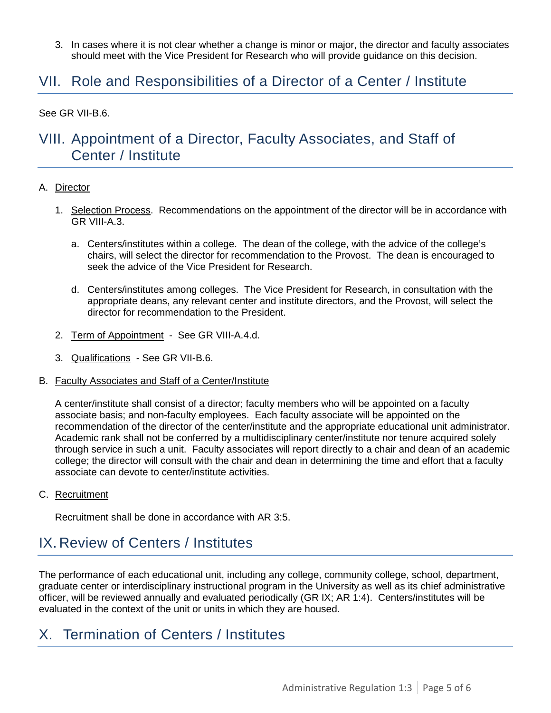3. In cases where it is not clear whether a change is minor or major, the director and faculty associates should meet with the Vice President for Research who will provide guidance on this decision.

### VII. Role and Responsibilities of a Director of a Center / Institute

See GR VII-B.6.

### <span id="page-4-0"></span>VIII. Appointment of a Director, Faculty Associates, and Staff of Center / Institute

#### A. Director

- 1. Selection Process. Recommendations on the appointment of the director will be in accordance with GR VIII-A.3.
	- a. Centers/institutes within a college. The dean of the college, with the advice of the college's chairs, will select the director for recommendation to the Provost. The dean is encouraged to seek the advice of the Vice President for Research.
	- d. Centers/institutes among colleges. The Vice President for Research, in consultation with the appropriate deans, any relevant center and institute directors, and the Provost, will select the director for recommendation to the President.
- 2. Term of Appointment See GR VIII-A.4.d.
- 3. Qualifications See GR VII-B.6.
- B. Faculty Associates and Staff of a Center/Institute

A center/institute shall consist of a director; faculty members who will be appointed on a faculty associate basis; and non-faculty employees. Each faculty associate will be appointed on the recommendation of the director of the center/institute and the appropriate educational unit administrator. Academic rank shall not be conferred by a multidisciplinary center/institute nor tenure acquired solely through service in such a unit. Faculty associates will report directly to a chair and dean of an academic college; the director will consult with the chair and dean in determining the time and effort that a faculty associate can devote to center/institute activities.

C. Recruitment

Recruitment shall be done in accordance with AR 3:5.

## IX. Review of Centers / Institutes

The performance of each educational unit, including any college, community college, school, department, graduate center or interdisciplinary instructional program in the University as well as its chief administrative officer, will be reviewed annually and evaluated periodically (GR IX; AR 1:4). Centers/institutes will be evaluated in the context of the unit or units in which they are housed.

### <span id="page-4-1"></span>X. Termination of Centers / Institutes